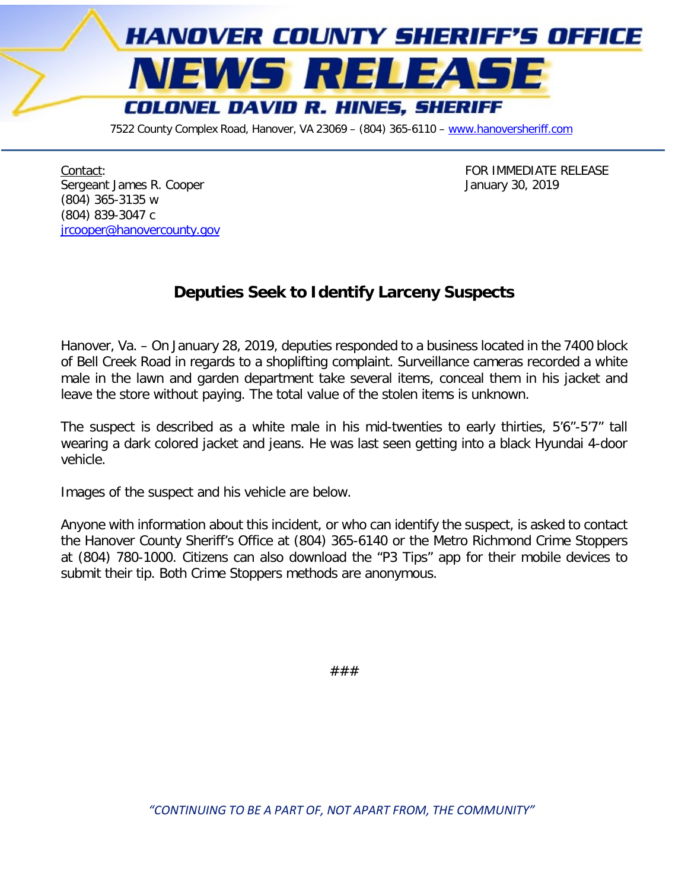

7522 County Complex Road, Hanover, VA 23069 - (804) 365-6110 - [www.hanoversheriff.com](http://www.hanoversheriff.com/)

Contact:<br>
Contact:<br>
Sergeant James R. Cooper<br>
Sergeant James R. Cooper Sergeant James R. Cooper (804) 365-3135 w (804) 839-3047 c [jrcooper@hanovercounty.gov](mailto:jrcooper@hanovercounty.gov)

## **Deputies Seek to Identify Larceny Suspects**

Hanover, Va. – On January 28, 2019, deputies responded to a business located in the 7400 block of Bell Creek Road in regards to a shoplifting complaint. Surveillance cameras recorded a white male in the lawn and garden department take several items, conceal them in his jacket and leave the store without paying. The total value of the stolen items is unknown.

The suspect is described as a white male in his mid-twenties to early thirties, 5'6"-5'7" tall wearing a dark colored jacket and jeans. He was last seen getting into a black Hyundai 4-door vehicle.

Images of the suspect and his vehicle are below.

Anyone with information about this incident, or who can identify the suspect, is asked to contact the Hanover County Sheriff's Office at (804) 365-6140 or the Metro Richmond Crime Stoppers at (804) 780-1000. Citizens can also download the "P3 Tips" app for their mobile devices to submit their tip. Both Crime Stoppers methods are anonymous.

###

*"CONTINUING TO BE A PART OF, NOT APART FROM, THE COMMUNITY"*